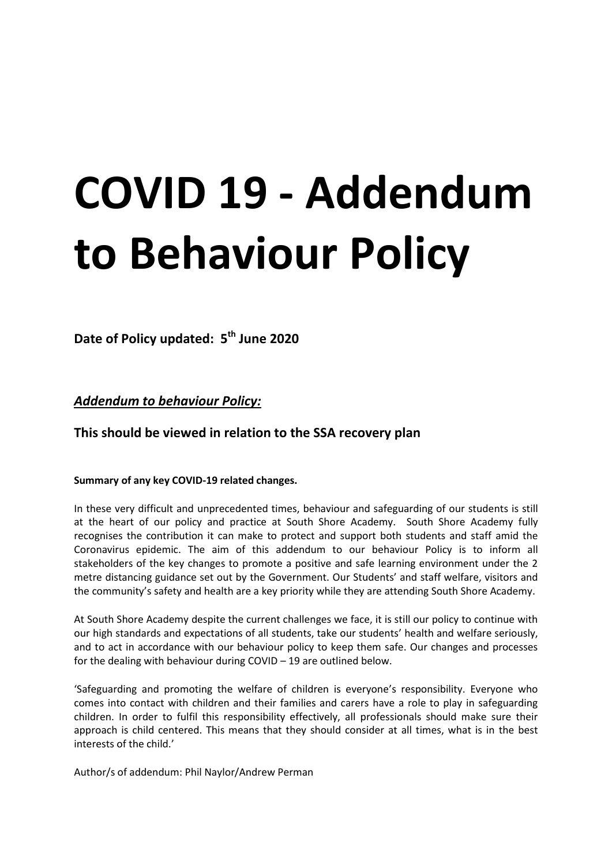# **COVID 19 - Addendum to Behaviour Policy**

**Date of Policy updated: 5th June 2020**

*Addendum to behaviour Policy:* 

# **This should be viewed in relation to the SSA recovery plan**

#### **Summary of any key COVID-19 related changes.**

In these very difficult and unprecedented times, behaviour and safeguarding of our students is still at the heart of our policy and practice at South Shore Academy. South Shore Academy fully recognises the contribution it can make to protect and support both students and staff amid the Coronavirus epidemic. The aim of this addendum to our behaviour Policy is to inform all stakeholders of the key changes to promote a positive and safe learning environment under the 2 metre distancing guidance set out by the Government. Our Students' and staff welfare, visitors and the community's safety and health are a key priority while they are attending South Shore Academy.

At South Shore Academy despite the current challenges we face, it is still our policy to continue with our high standards and expectations of all students, take our students' health and welfare seriously, and to act in accordance with our behaviour policy to keep them safe. Our changes and processes for the dealing with behaviour during COVID – 19 are outlined below.

'Safeguarding and promoting the welfare of children is everyone's responsibility. Everyone who comes into contact with children and their families and carers have a role to play in safeguarding children. In order to fulfil this responsibility effectively, all professionals should make sure their approach is child centered. This means that they should consider at all times, what is in the best interests of the child.'

Author/s of addendum: Phil Naylor/Andrew Perman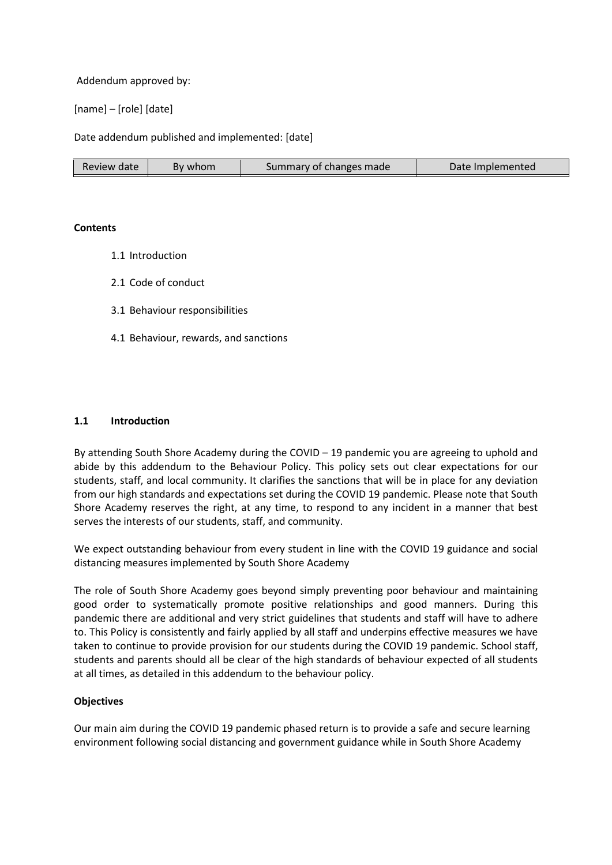Addendum approved by:

[name] – [role] [date]

Date addendum published and implemented: [date]

| Review date | By whom | Summary of changes made | Date Implemented |
|-------------|---------|-------------------------|------------------|
|-------------|---------|-------------------------|------------------|

#### **Contents**

- 1.1 Introduction
- 2.1 Code of conduct
- 3.1 Behaviour responsibilities
- 4.1 Behaviour, rewards, and sanctions

#### **1.1 Introduction**

By attending South Shore Academy during the COVID – 19 pandemic you are agreeing to uphold and abide by this addendum to the Behaviour Policy. This policy sets out clear expectations for our students, staff, and local community. It clarifies the sanctions that will be in place for any deviation from our high standards and expectations set during the COVID 19 pandemic. Please note that South Shore Academy reserves the right, at any time, to respond to any incident in a manner that best serves the interests of our students, staff, and community.

We expect outstanding behaviour from every student in line with the COVID 19 guidance and social distancing measures implemented by South Shore Academy

The role of South Shore Academy goes beyond simply preventing poor behaviour and maintaining good order to systematically promote positive relationships and good manners. During this pandemic there are additional and very strict guidelines that students and staff will have to adhere to. This Policy is consistently and fairly applied by all staff and underpins effective measures we have taken to continue to provide provision for our students during the COVID 19 pandemic. School staff, students and parents should all be clear of the high standards of behaviour expected of all students at all times, as detailed in this addendum to the behaviour policy.

#### **Objectives**

Our main aim during the COVID 19 pandemic phased return is to provide a safe and secure learning environment following social distancing and government guidance while in South Shore Academy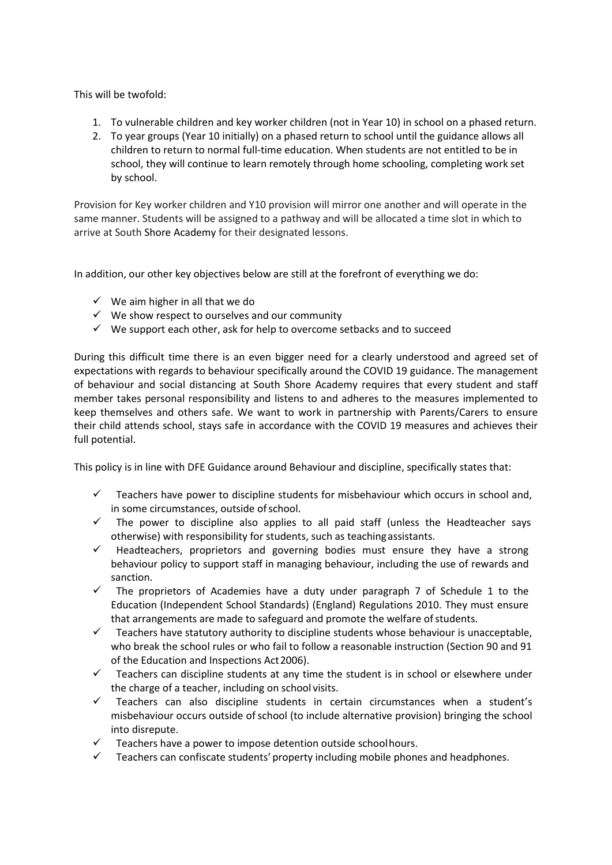This will be twofold:

- 1. To vulnerable children and key worker children (not in Year 10) in school on a phased return.
- 2. To year groups (Year 10 initially) on a phased return to school until the guidance allows all children to return to normal full-time education. When students are not entitled to be in school, they will continue to learn remotely through home schooling, completing work set by school.

Provision for Key worker children and Y10 provision will mirror one another and will operate in the same manner. Students will be assigned to a pathway and will be allocated a time slot in which to arrive at South Shore Academy for their designated lessons.

In addition, our other key objectives below are still at the forefront of everything we do:

- $\checkmark$  We aim higher in all that we do
- $\checkmark$  We show respect to ourselves and our community
- $\checkmark$  We support each other, ask for help to overcome setbacks and to succeed

During this difficult time there is an even bigger need for a clearly understood and agreed set of expectations with regards to behaviour specifically around the COVID 19 guidance. The management of behaviour and social distancing at South Shore Academy requires that every student and staff member takes personal responsibility and listens to and adheres to the measures implemented to keep themselves and others safe. We want to work in partnership with Parents/Carers to ensure their child attends school, stays safe in accordance with the COVID 19 measures and achieves their full potential.

This policy is in line with DFE Guidance around Behaviour and discipline, specifically states that:

- $\checkmark$  Teachers have power to discipline students for misbehaviour which occurs in school and, in some circumstances, outside of school.
- $\checkmark$  The power to discipline also applies to all paid staff (unless the Headteacher says otherwise) with responsibility for students, such as teaching assistants.
- $\checkmark$  Headteachers, proprietors and governing bodies must ensure they have a strong behaviour policy to support staff in managing behaviour, including the use of rewards and sanction.
- $\checkmark$  The proprietors of Academies have a duty under paragraph 7 of Schedule 1 to the Education (Independent School Standards) (England) Regulations 2010. They must ensure that arrangements are made to safeguard and promote the welfare of students.
- $\checkmark$  Teachers have statutory authority to discipline students whose behaviour is unacceptable, who break the school rules or who fail to follow a reasonable instruction (Section 90 and 91 of the Education and Inspections Act 2006).
- $\checkmark$  Teachers can discipline students at any time the student is in school or elsewhere under the charge of a teacher, including on school visits.
- $\checkmark$  Teachers can also discipline students in certain circumstances when a student's misbehaviour occurs outside of school (to include alternative provision) bringing the school into disrepute.
- Teachers have a power to impose detention outside school hours.
- $\checkmark$  Teachers can confiscate students' property including mobile phones and headphones.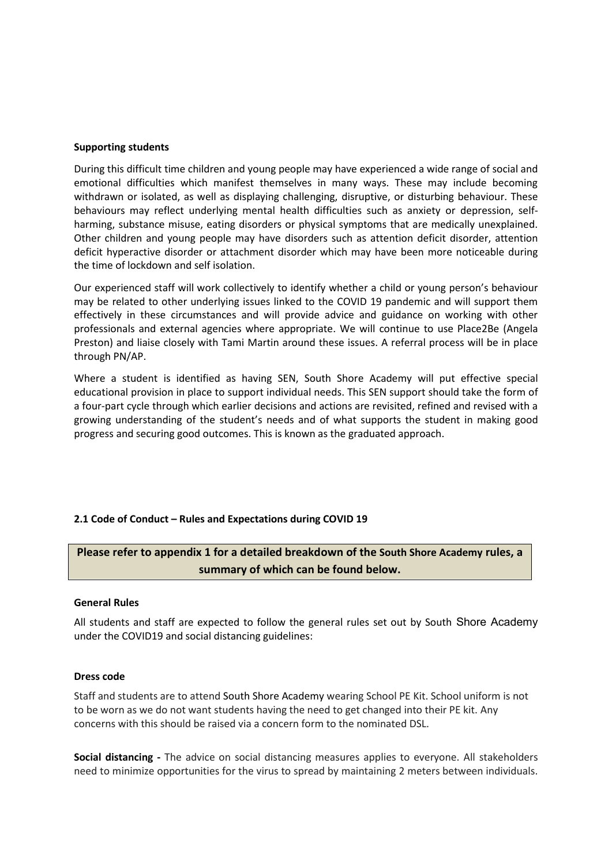#### **Supporting students**

During this difficult time children and young people may have experienced a wide range of social and emotional difficulties which manifest themselves in many ways. These may include becoming withdrawn or isolated, as well as displaying challenging, disruptive, or disturbing behaviour. These behaviours may reflect underlying mental health difficulties such as anxiety or depression, selfharming, substance misuse, eating disorders or physical symptoms that are medically unexplained. Other children and young people may have disorders such as attention deficit disorder, attention deficit hyperactive disorder or attachment disorder which may have been more noticeable during the time of lockdown and self isolation.

Our experienced staff will work collectively to identify whether a child or young person's behaviour may be related to other underlying issues linked to the COVID 19 pandemic and will support them effectively in these circumstances and will provide advice and guidance on working with other professionals and external agencies where appropriate. We will continue to use Place2Be (Angela Preston) and liaise closely with Tami Martin around these issues. A referral process will be in place through PN/AP.

Where a student is identified as having SEN, South Shore Academy will put effective special educational provision in place to support individual needs. This SEN support should take the form of a four-part cycle through which earlier decisions and actions are revisited, refined and revised with a growing understanding of the student's needs and of what supports the student in making good progress and securing good outcomes. This is known as the graduated approach.

#### **2.1 Code of Conduct – Rules and Expectations during COVID 19**

## **Please refer to appendix 1 for a detailed breakdown of the South Shore Academy rules, a summary of which can be found below.**

#### **General Rules**

All students and staff are expected to follow the general rules set out by South Shore Academy under the COVID19 and social distancing guidelines:

#### **Dress code**

Staff and students are to attend South Shore Academy wearing School PE Kit. School uniform is not to be worn as we do not want students having the need to get changed into their PE kit. Any concerns with this should be raised via a concern form to the nominated DSL.

**Social distancing -** The advice on social distancing measures applies to everyone. All stakeholders need to minimize opportunities for the virus to spread by maintaining 2 meters between individuals.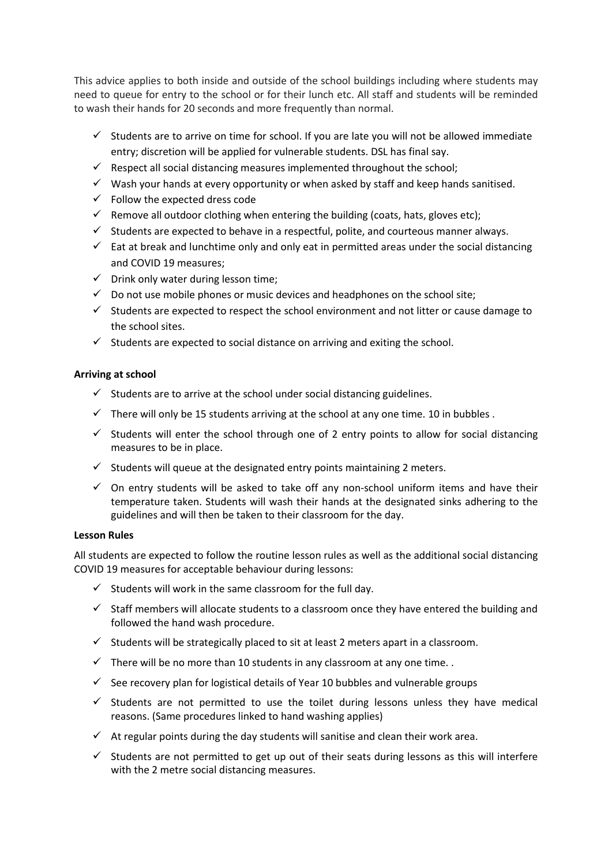This advice applies to both inside and outside of the school buildings including where students may need to queue for entry to the school or for their lunch etc. All staff and students will be reminded to wash their hands for 20 seconds and more frequently than normal.

- $\checkmark$  Students are to arrive on time for school. If you are late you will not be allowed immediate entry; discretion will be applied for vulnerable students. DSL has final say.
- $\checkmark$  Respect all social distancing measures implemented throughout the school;
- $\checkmark$  Wash your hands at every opportunity or when asked by staff and keep hands sanitised.
- $\checkmark$  Follow the expected dress code
- $\checkmark$  Remove all outdoor clothing when entering the building (coats, hats, gloves etc);
- $\checkmark$  Students are expected to behave in a respectful, polite, and courteous manner always.
- $\checkmark$  Eat at break and lunchtime only and only eat in permitted areas under the social distancing and COVID 19 measures;
- $\checkmark$  Drink only water during lesson time;
- $\checkmark$  Do not use mobile phones or music devices and headphones on the school site;
- $\checkmark$  Students are expected to respect the school environment and not litter or cause damage to the school sites.
- $\checkmark$  Students are expected to social distance on arriving and exiting the school.

## **Arriving at school**

- $\checkmark$  Students are to arrive at the school under social distancing guidelines.
- $\checkmark$  There will only be 15 students arriving at the school at any one time. 10 in bubbles.
- $\checkmark$  Students will enter the school through one of 2 entry points to allow for social distancing measures to be in place.
- $\checkmark$  Students will queue at the designated entry points maintaining 2 meters.
- $\checkmark$  On entry students will be asked to take off any non-school uniform items and have their temperature taken. Students will wash their hands at the designated sinks adhering to the guidelines and will then be taken to their classroom for the day.

#### **Lesson Rules**

All students are expected to follow the routine lesson rules as well as the additional social distancing COVID 19 measures for acceptable behaviour during lessons:

- $\checkmark$  Students will work in the same classroom for the full day.
- $\checkmark$  Staff members will allocate students to a classroom once they have entered the building and followed the hand wash procedure.
- $\checkmark$  Students will be strategically placed to sit at least 2 meters apart in a classroom.
- $\checkmark$  There will be no more than 10 students in any classroom at any one time.
- $\checkmark$  See recovery plan for logistical details of Year 10 bubbles and vulnerable groups
- $\checkmark$  Students are not permitted to use the toilet during lessons unless they have medical reasons. (Same procedures linked to hand washing applies)
- $\checkmark$  At regular points during the day students will sanitise and clean their work area.
- $\checkmark$  Students are not permitted to get up out of their seats during lessons as this will interfere with the 2 metre social distancing measures.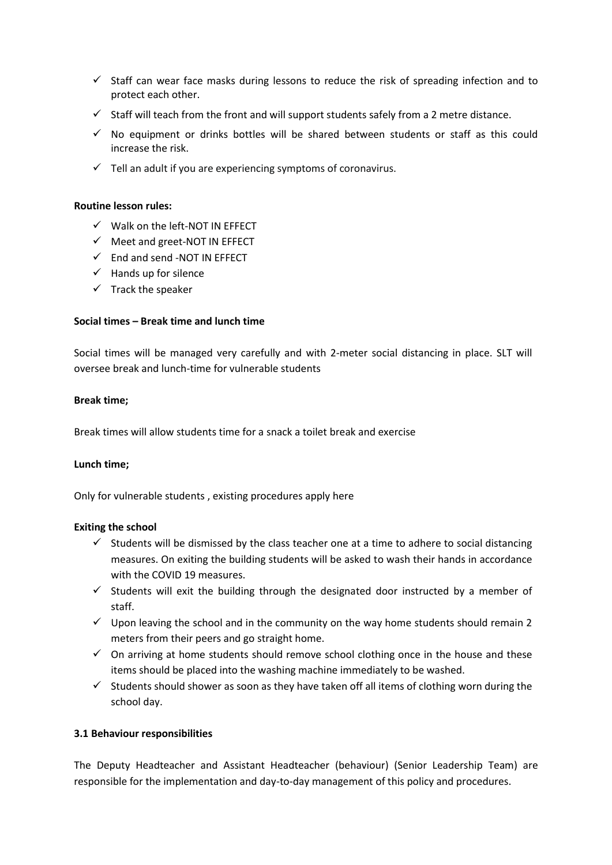- $\checkmark$  Staff can wear face masks during lessons to reduce the risk of spreading infection and to protect each other.
- $\checkmark$  Staff will teach from the front and will support students safely from a 2 metre distance.
- $\checkmark$  No equipment or drinks bottles will be shared between students or staff as this could increase the risk.
- $\checkmark$  Tell an adult if you are experiencing symptoms of coronavirus.

#### **Routine lesson rules:**

- $\checkmark$  Walk on the left-NOT IN EFFECT
- $\checkmark$  Meet and greet-NOT IN EFFECT
- $\checkmark$  End and send -NOT IN EFFECT
- $\checkmark$  Hands up for silence
- $\checkmark$  Track the speaker

#### **Social times – Break time and lunch time**

Social times will be managed very carefully and with 2-meter social distancing in place. SLT will oversee break and lunch-time for vulnerable students

#### **Break time;**

Break times will allow students time for a snack a toilet break and exercise

#### **Lunch time;**

Only for vulnerable students , existing procedures apply here

#### **Exiting the school**

- $\checkmark$  Students will be dismissed by the class teacher one at a time to adhere to social distancing measures. On exiting the building students will be asked to wash their hands in accordance with the COVID 19 measures.
- $\checkmark$  Students will exit the building through the designated door instructed by a member of staff.
- $\checkmark$  Upon leaving the school and in the community on the way home students should remain 2 meters from their peers and go straight home.
- $\checkmark$  On arriving at home students should remove school clothing once in the house and these items should be placed into the washing machine immediately to be washed.
- $\checkmark$  Students should shower as soon as they have taken off all items of clothing worn during the school day.

#### **3.1 Behaviour responsibilities**

The Deputy Headteacher and Assistant Headteacher (behaviour) (Senior Leadership Team) are responsible for the implementation and day-to-day management of this policy and procedures.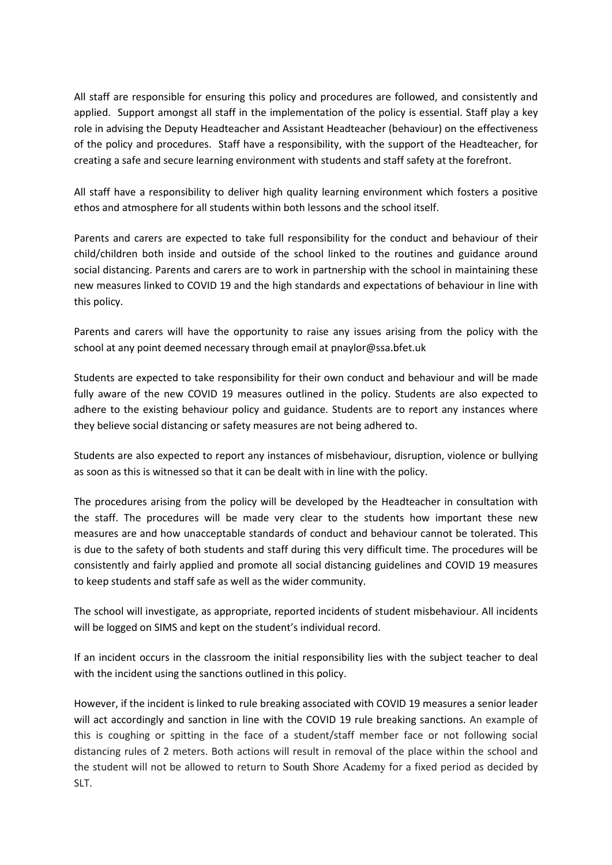All staff are responsible for ensuring this policy and procedures are followed, and consistently and applied. Support amongst all staff in the implementation of the policy is essential. Staff play a key role in advising the Deputy Headteacher and Assistant Headteacher (behaviour) on the effectiveness of the policy and procedures. Staff have a responsibility, with the support of the Headteacher, for creating a safe and secure learning environment with students and staff safety at the forefront.

All staff have a responsibility to deliver high quality learning environment which fosters a positive ethos and atmosphere for all students within both lessons and the school itself.

Parents and carers are expected to take full responsibility for the conduct and behaviour of their child/children both inside and outside of the school linked to the routines and guidance around social distancing. Parents and carers are to work in partnership with the school in maintaining these new measures linked to COVID 19 and the high standards and expectations of behaviour in line with this policy.

Parents and carers will have the opportunity to raise any issues arising from the policy with the school at any point deemed necessary through email at pnaylor@ssa.bfet.uk

Students are expected to take responsibility for their own conduct and behaviour and will be made fully aware of the new COVID 19 measures outlined in the policy. Students are also expected to adhere to the existing behaviour policy and guidance. Students are to report any instances where they believe social distancing or safety measures are not being adhered to.

Students are also expected to report any instances of misbehaviour, disruption, violence or bullying as soon as this is witnessed so that it can be dealt with in line with the policy.

The procedures arising from the policy will be developed by the Headteacher in consultation with the staff. The procedures will be made very clear to the students how important these new measures are and how unacceptable standards of conduct and behaviour cannot be tolerated. This is due to the safety of both students and staff during this very difficult time. The procedures will be consistently and fairly applied and promote all social distancing guidelines and COVID 19 measures to keep students and staff safe as well as the wider community.

The school will investigate, as appropriate, reported incidents of student misbehaviour. All incidents will be logged on SIMS and kept on the student's individual record.

If an incident occurs in the classroom the initial responsibility lies with the subject teacher to deal with the incident using the sanctions outlined in this policy.

However, if the incident is linked to rule breaking associated with COVID 19 measures a senior leader will act accordingly and sanction in line with the COVID 19 rule breaking sanctions. An example of this is coughing or spitting in the face of a student/staff member face or not following social distancing rules of 2 meters. Both actions will result in removal of the place within the school and the student will not be allowed to return to South Shore Academy for a fixed period as decided by SLT.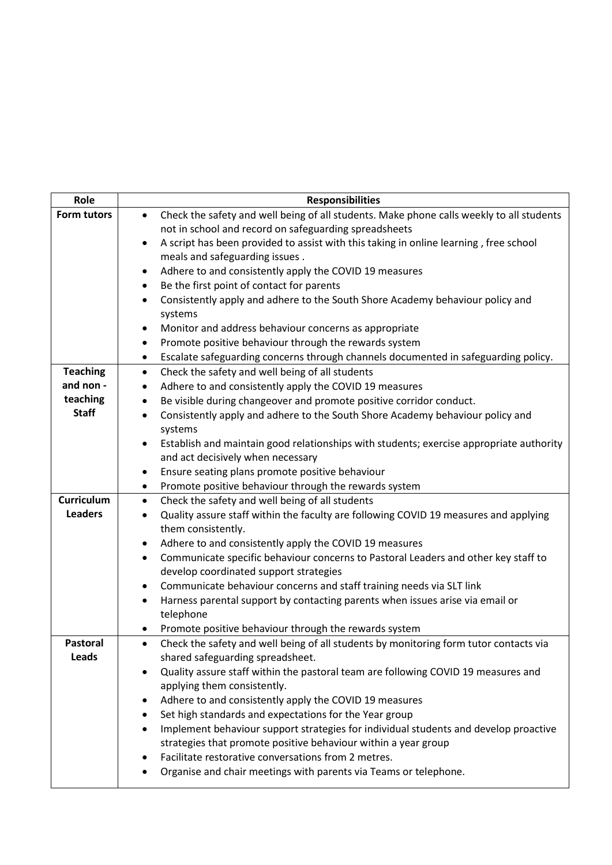| <b>Responsibilities</b>                                                                                                 |  |  |
|-------------------------------------------------------------------------------------------------------------------------|--|--|
| Check the safety and well being of all students. Make phone calls weekly to all students<br>$\bullet$                   |  |  |
| not in school and record on safeguarding spreadsheets                                                                   |  |  |
| A script has been provided to assist with this taking in online learning, free school<br>$\bullet$                      |  |  |
| meals and safeguarding issues.                                                                                          |  |  |
| Adhere to and consistently apply the COVID 19 measures<br>٠                                                             |  |  |
| Be the first point of contact for parents<br>$\bullet$                                                                  |  |  |
| Consistently apply and adhere to the South Shore Academy behaviour policy and<br>$\bullet$                              |  |  |
| systems                                                                                                                 |  |  |
| Monitor and address behaviour concerns as appropriate<br>٠                                                              |  |  |
| Promote positive behaviour through the rewards system<br>٠                                                              |  |  |
| Escalate safeguarding concerns through channels documented in safeguarding policy.<br>٠                                 |  |  |
| Check the safety and well being of all students<br>$\bullet$                                                            |  |  |
| Adhere to and consistently apply the COVID 19 measures<br>٠                                                             |  |  |
| Be visible during changeover and promote positive corridor conduct.<br>٠                                                |  |  |
| Consistently apply and adhere to the South Shore Academy behaviour policy and<br>$\bullet$                              |  |  |
| systems                                                                                                                 |  |  |
| Establish and maintain good relationships with students; exercise appropriate authority                                 |  |  |
| and act decisively when necessary                                                                                       |  |  |
| Ensure seating plans promote positive behaviour<br>٠                                                                    |  |  |
| Promote positive behaviour through the rewards system<br>٠                                                              |  |  |
| Check the safety and well being of all students<br>$\bullet$                                                            |  |  |
| Quality assure staff within the faculty are following COVID 19 measures and applying<br>$\bullet$<br>them consistently. |  |  |
| Adhere to and consistently apply the COVID 19 measures<br>٠                                                             |  |  |
| Communicate specific behaviour concerns to Pastoral Leaders and other key staff to<br>٠                                 |  |  |
| develop coordinated support strategies                                                                                  |  |  |
| Communicate behaviour concerns and staff training needs via SLT link<br>٠                                               |  |  |
| Harness parental support by contacting parents when issues arise via email or<br>$\bullet$                              |  |  |
| telephone                                                                                                               |  |  |
| Promote positive behaviour through the rewards system                                                                   |  |  |
| Check the safety and well being of all students by monitoring form tutor contacts via<br>$\bullet$                      |  |  |
| shared safeguarding spreadsheet.                                                                                        |  |  |
| Quality assure staff within the pastoral team are following COVID 19 measures and                                       |  |  |
| applying them consistently.                                                                                             |  |  |
| Adhere to and consistently apply the COVID 19 measures                                                                  |  |  |
| Set high standards and expectations for the Year group                                                                  |  |  |
| Implement behaviour support strategies for individual students and develop proactive<br>٠                               |  |  |
| strategies that promote positive behaviour within a year group                                                          |  |  |
| Facilitate restorative conversations from 2 metres.                                                                     |  |  |
| Organise and chair meetings with parents via Teams or telephone.                                                        |  |  |
|                                                                                                                         |  |  |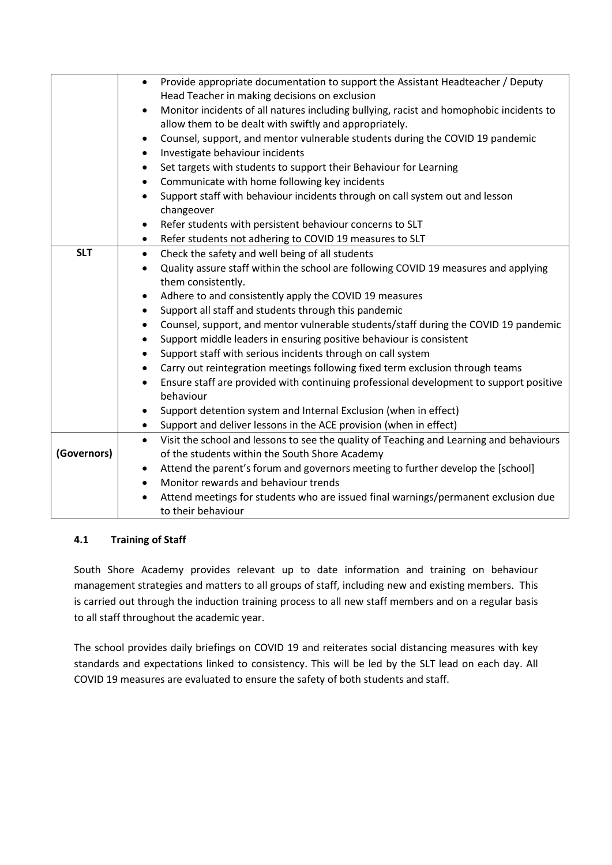|             | Provide appropriate documentation to support the Assistant Headteacher / Deputy<br>$\bullet$<br>Head Teacher in making decisions on exclusion |  |  |
|-------------|-----------------------------------------------------------------------------------------------------------------------------------------------|--|--|
|             | Monitor incidents of all natures including bullying, racist and homophobic incidents to<br>$\bullet$                                          |  |  |
|             | allow them to be dealt with swiftly and appropriately.                                                                                        |  |  |
|             | Counsel, support, and mentor vulnerable students during the COVID 19 pandemic<br>٠                                                            |  |  |
|             | Investigate behaviour incidents                                                                                                               |  |  |
|             | Set targets with students to support their Behaviour for Learning<br>$\bullet$                                                                |  |  |
|             | Communicate with home following key incidents<br>$\bullet$                                                                                    |  |  |
|             | Support staff with behaviour incidents through on call system out and lesson                                                                  |  |  |
|             | changeover                                                                                                                                    |  |  |
|             | Refer students with persistent behaviour concerns to SLT<br>٠                                                                                 |  |  |
|             | Refer students not adhering to COVID 19 measures to SLT<br>$\bullet$                                                                          |  |  |
| <b>SLT</b>  | Check the safety and well being of all students<br>$\bullet$                                                                                  |  |  |
|             | Quality assure staff within the school are following COVID 19 measures and applying<br>$\bullet$                                              |  |  |
|             | them consistently.                                                                                                                            |  |  |
|             | Adhere to and consistently apply the COVID 19 measures<br>٠                                                                                   |  |  |
|             | Support all staff and students through this pandemic<br>$\bullet$                                                                             |  |  |
|             | Counsel, support, and mentor vulnerable students/staff during the COVID 19 pandemic<br>$\bullet$                                              |  |  |
|             | Support middle leaders in ensuring positive behaviour is consistent<br>$\bullet$                                                              |  |  |
|             | Support staff with serious incidents through on call system<br>$\bullet$                                                                      |  |  |
|             | Carry out reintegration meetings following fixed term exclusion through teams<br>$\bullet$                                                    |  |  |
|             | Ensure staff are provided with continuing professional development to support positive                                                        |  |  |
|             | behaviour                                                                                                                                     |  |  |
|             | Support detention system and Internal Exclusion (when in effect)<br>٠                                                                         |  |  |
|             | Support and deliver lessons in the ACE provision (when in effect)<br>$\bullet$                                                                |  |  |
| (Governors) | Visit the school and lessons to see the quality of Teaching and Learning and behaviours<br>$\bullet$                                          |  |  |
|             | of the students within the South Shore Academy                                                                                                |  |  |
|             | Attend the parent's forum and governors meeting to further develop the [school]<br>٠<br>Monitor rewards and behaviour trends                  |  |  |
|             | $\bullet$                                                                                                                                     |  |  |
|             | Attend meetings for students who are issued final warnings/permanent exclusion due<br>to their behaviour                                      |  |  |
|             |                                                                                                                                               |  |  |

## **4.1 Training of Staff**

South Shore Academy provides relevant up to date information and training on behaviour management strategies and matters to all groups of staff, including new and existing members. This is carried out through the induction training process to all new staff members and on a regular basis to all staff throughout the academic year.

The school provides daily briefings on COVID 19 and reiterates social distancing measures with key standards and expectations linked to consistency. This will be led by the SLT lead on each day. All COVID 19 measures are evaluated to ensure the safety of both students and staff.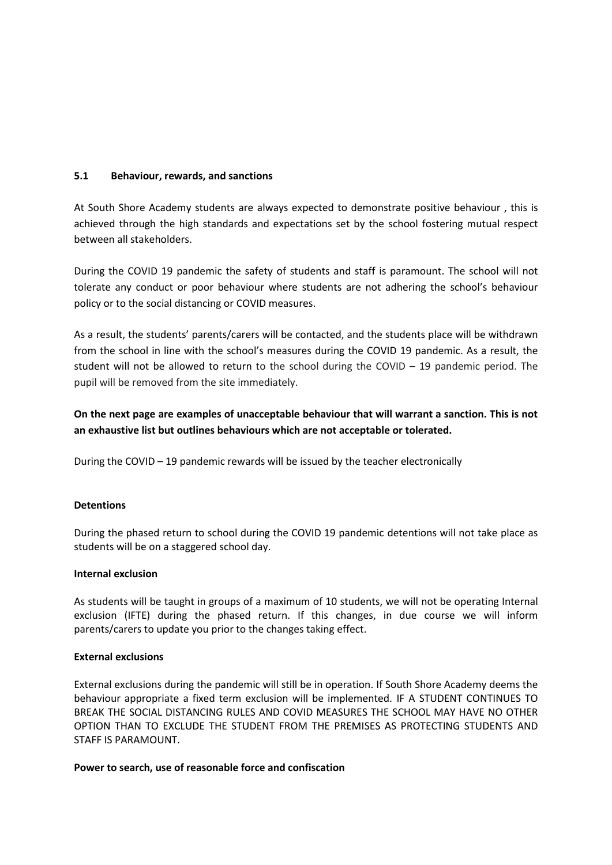#### **5.1 Behaviour, rewards, and sanctions**

At South Shore Academy students are always expected to demonstrate positive behaviour , this is achieved through the high standards and expectations set by the school fostering mutual respect between all stakeholders.

During the COVID 19 pandemic the safety of students and staff is paramount. The school will not tolerate any conduct or poor behaviour where students are not adhering the school's behaviour policy or to the social distancing or COVID measures.

As a result, the students' parents/carers will be contacted, and the students place will be withdrawn from the school in line with the school's measures during the COVID 19 pandemic. As a result, the student will not be allowed to return to the school during the COVID  $-$  19 pandemic period. The pupil will be removed from the site immediately.

**On the next page are examples of unacceptable behaviour that will warrant a sanction. This is not an exhaustive list but outlines behaviours which are not acceptable or tolerated.** 

During the COVID – 19 pandemic rewards will be issued by the teacher electronically

#### **Detentions**

During the phased return to school during the COVID 19 pandemic detentions will not take place as students will be on a staggered school day.

#### **Internal exclusion**

As students will be taught in groups of a maximum of 10 students, we will not be operating Internal exclusion (IFTE) during the phased return. If this changes, in due course we will inform parents/carers to update you prior to the changes taking effect.

#### **External exclusions**

External exclusions during the pandemic will still be in operation. If South Shore Academy deems the behaviour appropriate a fixed term exclusion will be implemented. IF A STUDENT CONTINUES TO BREAK THE SOCIAL DISTANCING RULES AND COVID MEASURES THE SCHOOL MAY HAVE NO OTHER OPTION THAN TO EXCLUDE THE STUDENT FROM THE PREMISES AS PROTECTING STUDENTS AND STAFF IS PARAMOUNT.

#### **Power to search, use of reasonable force and confiscation**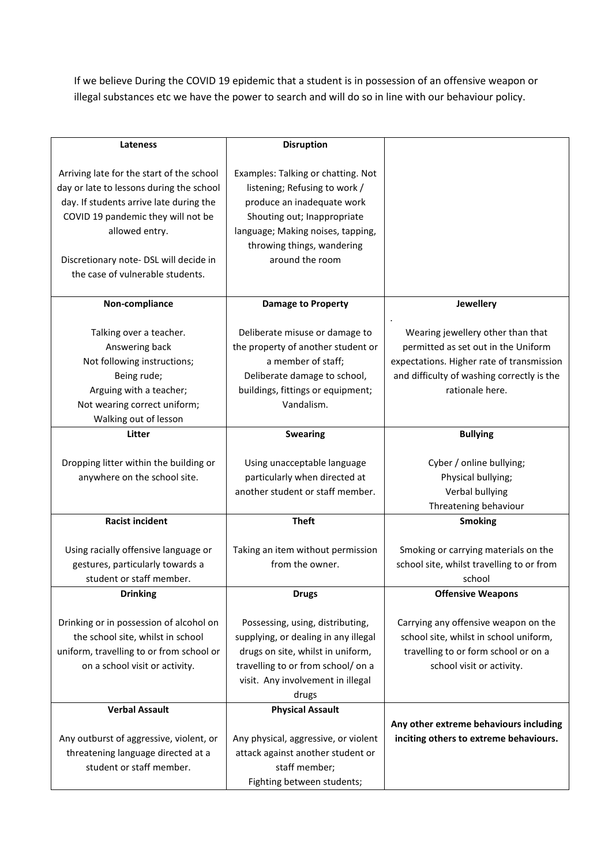If we believe During the COVID 19 epidemic that a student is in possession of an offensive weapon or illegal substances etc we have the power to search and will do so in line with our behaviour policy.

| Lateness                                  | <b>Disruption</b>                    |                                            |
|-------------------------------------------|--------------------------------------|--------------------------------------------|
|                                           |                                      |                                            |
| Arriving late for the start of the school | Examples: Talking or chatting. Not   |                                            |
| day or late to lessons during the school  | listening; Refusing to work /        |                                            |
| day. If students arrive late during the   | produce an inadequate work           |                                            |
| COVID 19 pandemic they will not be        | Shouting out; Inappropriate          |                                            |
| allowed entry.                            | language; Making noises, tapping,    |                                            |
|                                           | throwing things, wandering           |                                            |
| Discretionary note- DSL will decide in    | around the room                      |                                            |
| the case of vulnerable students.          |                                      |                                            |
|                                           |                                      |                                            |
| Non-compliance                            | <b>Damage to Property</b>            | Jewellery                                  |
| Talking over a teacher.                   | Deliberate misuse or damage to       | Wearing jewellery other than that          |
| Answering back                            | the property of another student or   | permitted as set out in the Uniform        |
| Not following instructions;               | a member of staff;                   | expectations. Higher rate of transmission  |
| Being rude;                               | Deliberate damage to school,         | and difficulty of washing correctly is the |
| Arguing with a teacher;                   | buildings, fittings or equipment;    | rationale here.                            |
| Not wearing correct uniform;              | Vandalism.                           |                                            |
| Walking out of lesson                     |                                      |                                            |
| <b>Litter</b>                             | <b>Swearing</b>                      | <b>Bullying</b>                            |
|                                           |                                      |                                            |
| Dropping litter within the building or    | Using unacceptable language          | Cyber / online bullying;                   |
| anywhere on the school site.              | particularly when directed at        | Physical bullying;                         |
|                                           | another student or staff member.     | Verbal bullying                            |
|                                           |                                      | Threatening behaviour                      |
| <b>Racist incident</b>                    | <b>Theft</b>                         | <b>Smoking</b>                             |
|                                           |                                      |                                            |
| Using racially offensive language or      | Taking an item without permission    | Smoking or carrying materials on the       |
| gestures, particularly towards a          | from the owner.                      | school site, whilst travelling to or from  |
| student or staff member.                  |                                      | school                                     |
| <b>Drinking</b>                           | <b>Drugs</b>                         | <b>Offensive Weapons</b>                   |
| Drinking or in possession of alcohol on   | Possessing, using, distributing,     | Carrying any offensive weapon on the       |
| the school site, whilst in school         | supplying, or dealing in any illegal | school site, whilst in school uniform,     |
| uniform, travelling to or from school or  | drugs on site, whilst in uniform,    | travelling to or form school or on a       |
| on a school visit or activity.            | travelling to or from school/ on a   | school visit or activity.                  |
|                                           | visit. Any involvement in illegal    |                                            |
|                                           | drugs                                |                                            |
| <b>Verbal Assault</b>                     | <b>Physical Assault</b>              |                                            |
|                                           |                                      | Any other extreme behaviours including     |
| Any outburst of aggressive, violent, or   | Any physical, aggressive, or violent | inciting others to extreme behaviours.     |
| threatening language directed at a        | attack against another student or    |                                            |
| student or staff member.                  | staff member;                        |                                            |
|                                           | Fighting between students;           |                                            |